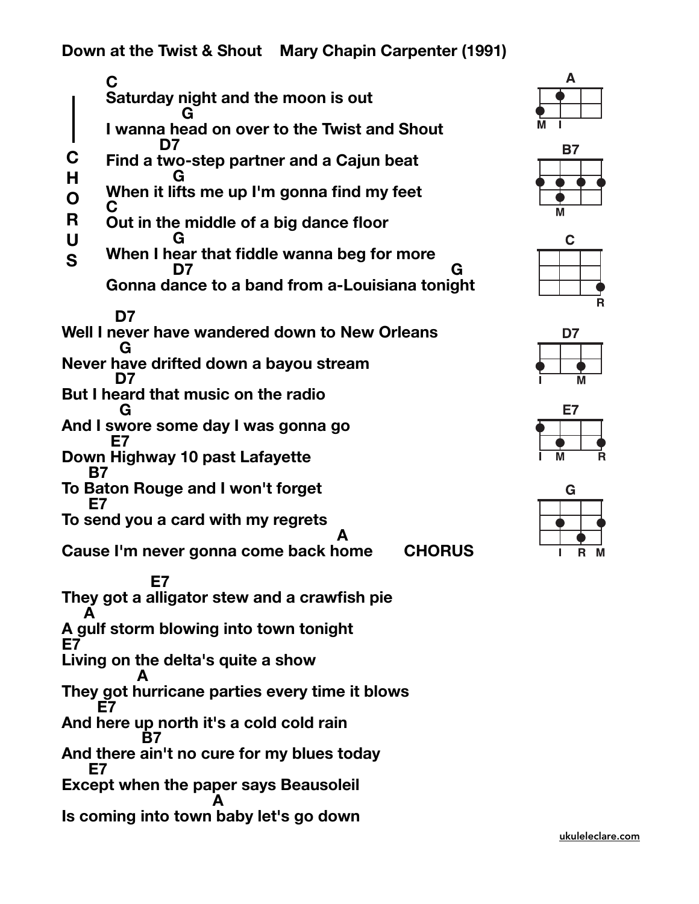**Down at the Twist & Shout Mary Chapin Carpenter (1991)** 

C<br>
Saturday night and the moon is out<br>
G I wanna head on over to the Twist and Shout<br>
D7<br>
C Find a two-step partner and a Cajun beat<br>
H G<br>
When it lifts me up I'm gonna find my feet  **C** Out in the middle of a big dance floor<br>
G<br>
When I hear that fiddle wanna beg for more<br>
D7<br>
Gonna dance to a band from a-Louisiana tonight  **D7 Well I never have wandered down to New Orleans G Never have drifted down a bayou stream D7 But I heard that music on the radio G And I swore some day I was gonna go E7 Down Highway 10 past Lafayette B7 To Baton Rouge and I won't forget E7 To send you a card with my regrets A Cause I'm never gonna come back home CHORUS E7 They got a alligator stew and a crawfish pie A A gulf storm blowing into town tonight E7 Living on the delta's quite a show A They got hurricane parties every time it blows E7 And here up north it's a cold cold rain B7 And there ain't no cure for my blues today E7 Except when the paper says Beausoleil A Is coming into town baby let's go down C H O R U S**